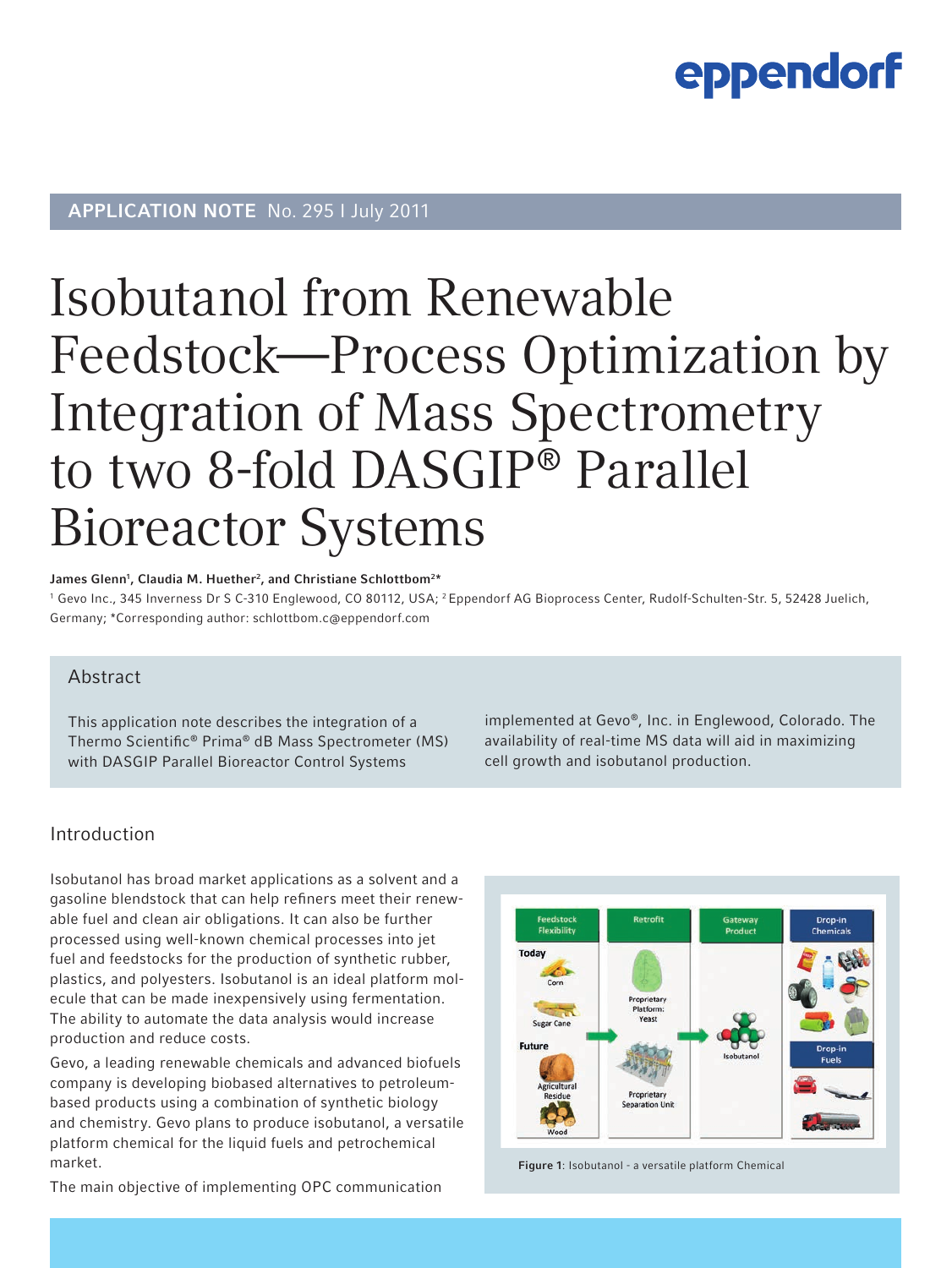## **APPLICATION NOTE** No. 295 I July 2011

## Isobutanol from Renewable Feedstock—Process Optimization by Integration of Mass Spectrometry to two 8-fold DASGIP® Parallel Bioreactor Systems

#### James Glenn<sup>1</sup>, Claudia M. Huether<sup>2</sup>, and Christiane Schlottbom<sup>2\*</sup>

<sup>1</sup> Gevo Inc., 345 Inverness Dr S C-310 Englewood, CO 80112, USA; <sup>2</sup> Eppendorf AG Bioprocess Center, Rudolf-Schulten-Str. 5, 52428 Juelich, Germany; \*Corresponding author: schlottbom.c@eppendorf.com

### Abstract

This application note describes the integration of a Thermo Scientific® Prima® dB Mass Spectrometer (MS) with DASGIP Parallel Bioreactor Control Systems

implemented at Gevo®, Inc. in Englewood, Colorado. The availability of real-time MS data will aid in maximizing cell growth and isobutanol production.

### Introduction

Isobutanol has broad market applications as a solvent and a gasoline blendstock that can help refiners meet their renewable fuel and clean air obligations. It can also be further processed using well-known chemical processes into jet fuel and feedstocks for the production of synthetic rubber, plastics, and polyesters. Isobutanol is an ideal platform molecule that can be made inexpensively using fermentation. The ability to automate the data analysis would increase production and reduce costs.

Gevo, a leading renewable chemicals and advanced biofuels company is developing biobased alternatives to petroleumbased products using a combination of synthetic biology and chemistry. Gevo plans to produce isobutanol, a versatile platform chemical for the liquid fuels and petrochemical market.

The main objective of implementing OPC communication



Figure 1: Isobutanol - a versatile platform Chemical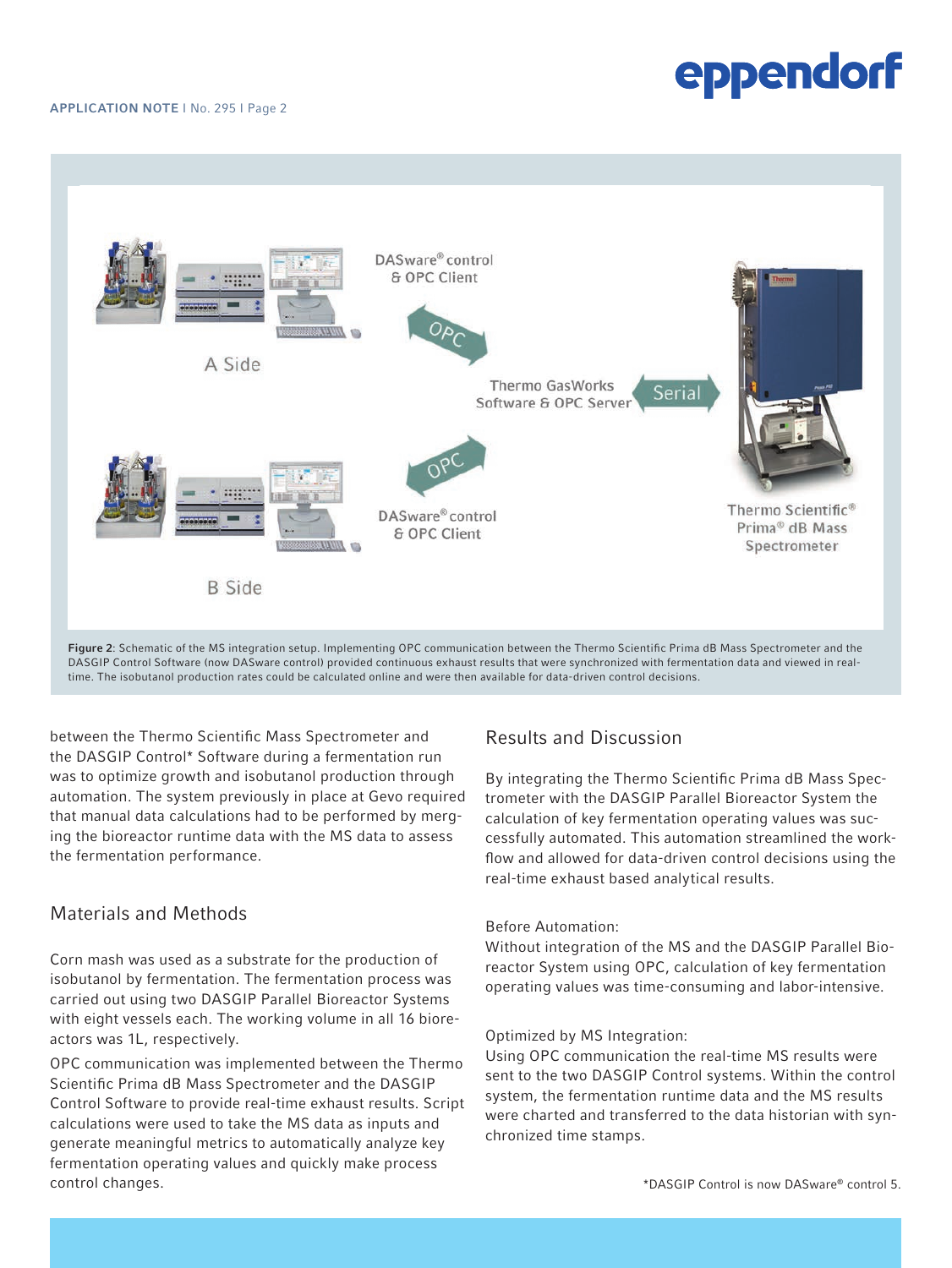#### APPLICATION NOTE I No. 295 I Page 2



DASGIP Control Software (now DASware control) provided continuous exhaust results that were synchronized with fermentation data and viewed in realtime. The isobutanol production rates could be calculated online and were then available for data-driven control decisions.

between the Thermo Scientific Mass Spectrometer and the DASGIP Control\* Software during a fermentation run was to optimize growth and isobutanol production through automation. The system previously in place at Gevo required that manual data calculations had to be performed by merging the bioreactor runtime data with the MS data to assess the fermentation performance.

## Materials and Methods

Corn mash was used as a substrate for the production of isobutanol by fermentation. The fermentation process was carried out using two DASGIP Parallel Bioreactor Systems with eight vessels each. The working volume in all 16 bioreactors was 1L, respectively.

OPC communication was implemented between the Thermo Scientific Prima dB Mass Spectrometer and the DASGIP Control Software to provide real-time exhaust results. Script calculations were used to take the MS data as inputs and generate meaningful metrics to automatically analyze key fermentation operating values and quickly make process control changes.

## Results and Discussion

By integrating the Thermo Scientific Prima dB Mass Spectrometer with the DASGIP Parallel Bioreactor System the calculation of key fermentation operating values was successfully automated. This automation streamlined the workflow and allowed for data-driven control decisions using the real-time exhaust based analytical results.

### Before Automation:

Without integration of the MS and the DASGIP Parallel Bioreactor System using OPC, calculation of key fermentation operating values was time-consuming and labor-intensive.

#### Optimized by MS Integration:

Using OPC communication the real-time MS results were sent to the two DASGIP Control systems. Within the control system, the fermentation runtime data and the MS results were charted and transferred to the data historian with synchronized time stamps.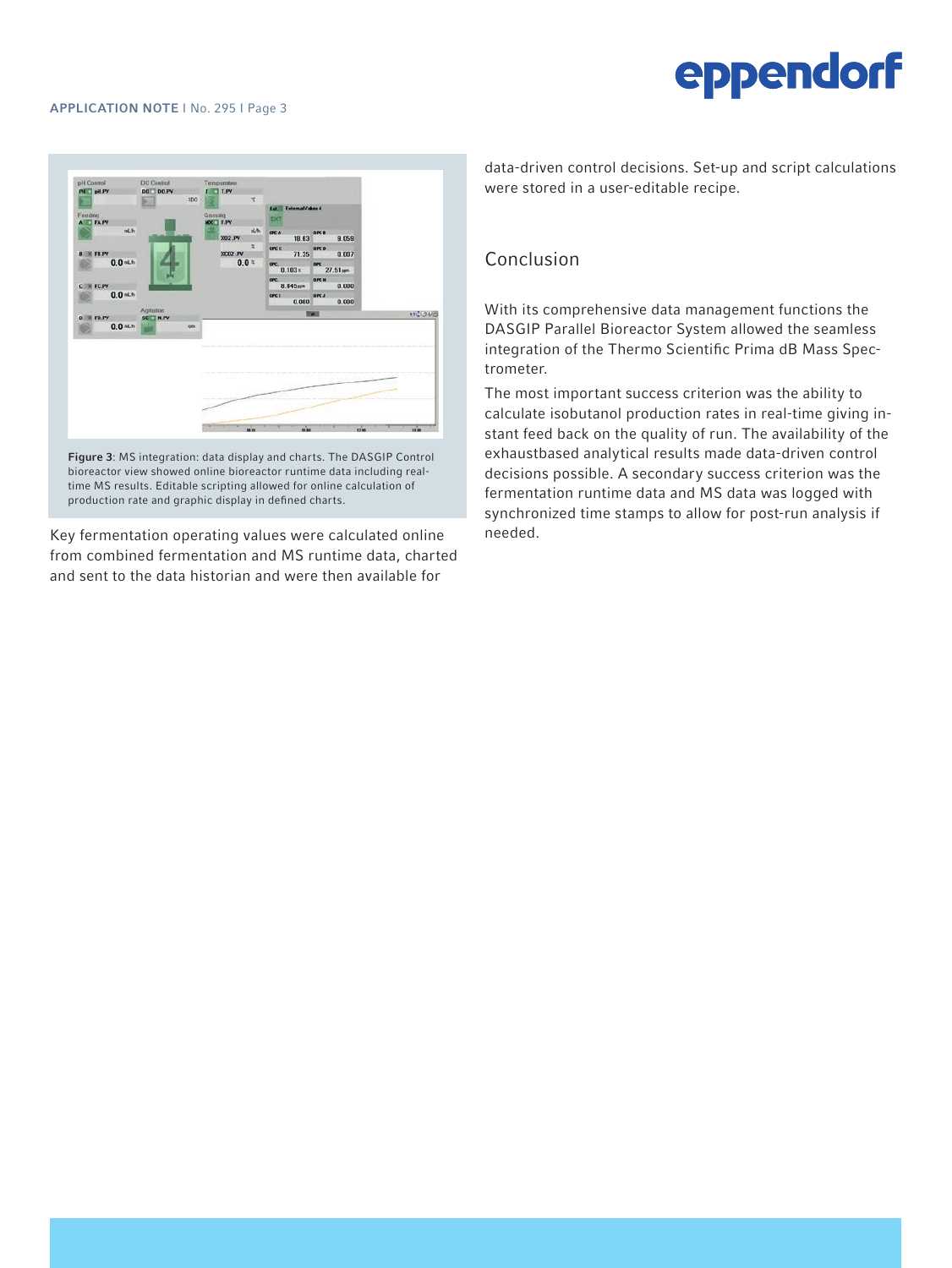

Figure 3: MS integration: data display and charts. The DASGIP Control bioreactor view showed online bioreactor runtime data including realtime MS results. Editable scripting allowed for online calculation of production rate and graphic display in defined charts.

Key fermentation operating values were calculated online from combined fermentation and MS runtime data, charted and sent to the data historian and were then available for

data-driven control decisions. Set-up and script calculations were stored in a user-editable recipe.

## Conclusion

With its comprehensive data management functions the DASGIP Parallel Bioreactor System allowed the seamless integration of the Thermo Scientific Prima dB Mass Spectrometer.

The most important success criterion was the ability to calculate isobutanol production rates in real-time giving instant feed back on the quality of run. The availability of the exhaustbased analytical results made data-driven control decisions possible. A secondary success criterion was the fermentation runtime data and MS data was logged with synchronized time stamps to allow for post-run analysis if needed.